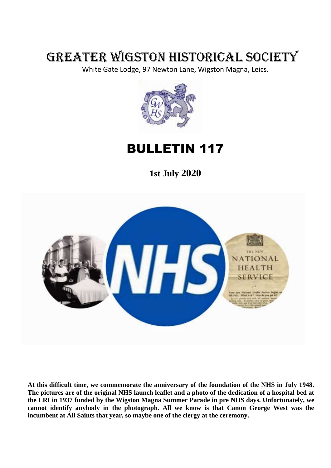# GREATER WIGSTON HISTORICAL SOCIETY

White Gate Lodge, 97 Newton Lane, Wigston Magna, Leics.



BULLETIN 117

**1st July 2020**



**At this difficult time, we commemorate the anniversary of the foundation of the NHS in July 1948. The pictures are of the original NHS launch leaflet and a photo of the dedication of a hospital bed at the LRI in 1937 funded by the Wigston Magna Summer Parade in pre NHS days. Unfortunately, we cannot identify anybody in the photograph. All we know is that Canon George West was the incumbent at All Saints that year, so maybe one of the clergy at the ceremony.**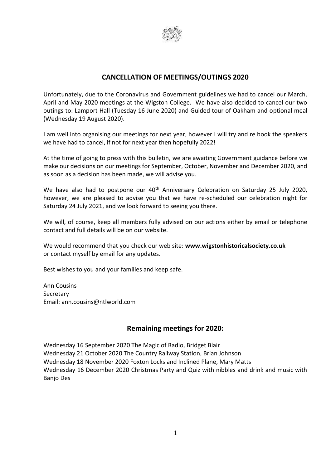

## **CANCELLATION OF MEETINGS/OUTINGS 2020**

Unfortunately, due to the Coronavirus and Government guidelines we had to cancel our March, April and May 2020 meetings at the Wigston College. We have also decided to cancel our two outings to: Lamport Hall (Tuesday 16 June 2020) and Guided tour of Oakham and optional meal (Wednesday 19 August 2020).

I am well into organising our meetings for next year, however I will try and re book the speakers we have had to cancel, if not for next year then hopefully 2022!

At the time of going to press with this bulletin, we are awaiting Government guidance before we make our decisions on our meetings for September, October, November and December 2020, and as soon as a decision has been made, we will advise you.

We have also had to postpone our 40<sup>th</sup> Anniversary Celebration on Saturday 25 July 2020, however, we are pleased to advise you that we have re-scheduled our celebration night for Saturday 24 July 2021, and we look forward to seeing you there.

We will, of course, keep all members fully advised on our actions either by email or telephone contact and full details will be on our website.

We would recommend that you check our web site: **www.wigstonhistoricalsociety.co.uk** or contact myself by email for any updates.

Best wishes to you and your families and keep safe.

Ann Cousins Secretary Email: ann.cousins@ntlworld.com

#### **Remaining meetings for 2020:**

Wednesday 16 September 2020 The Magic of Radio, Bridget Blair Wednesday 21 October 2020 The Country Railway Station, Brian Johnson Wednesday 18 November 2020 Foxton Locks and Inclined Plane, Mary Matts Wednesday 16 December 2020 Christmas Party and Quiz with nibbles and drink and music with Banjo Des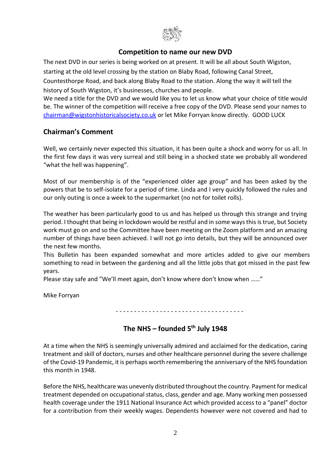

## **Competition to name our new DVD**

The next DVD in our series is being worked on at present. It will be all about South Wigston, starting at the old level crossing by the station on Blaby Road, following Canal Street, Countesthorpe Road, and back along Blaby Road to the station. Along the way it will tell the history of South Wigston, it's businesses, churches and people.

We need a title for the DVD and we would like you to let us know what your choice of title would be. The winner of the competition will receive a free copy of the DVD. Please send your names to chairman@wigstonhistoricalsociety.co.uk or let Mike Forryan know directly. GOOD LUCK

## **Chairman's Comment**

Well, we certainly never expected this situation, it has been quite a shock and worry for us all. In the first few days it was very surreal and still being in a shocked state we probably all wondered "what the hell was happening".

Most of our membership is of the "experienced older age group" and has been asked by the powers that be to self-isolate for a period of time. Linda and I very quickly followed the rules and our only outing is once a week to the supermarket (no not for toilet rolls).

The weather has been particularly good to us and has helped us through this strange and trying period. I thought that being in lockdown would be restful and in some ways this is true, but Society work must go on and so the Committee have been meeting on the Zoom platform and an amazing number of things have been achieved. I will not go into details, but they will be announced over the next few months.

This Bulletin has been expanded somewhat and more articles added to give our members something to read in between the gardening and all the little jobs that got missed in the past few years.

Please stay safe and "We'll meet again, don't know where don't know when ……"

Mike Forryan

- - - - - - - - - - - - - - - - - - - - - - - - - - - - - - - - - - -

# **The NHS – founded 5th July 1948**

At a time when the NHS is seemingly universally admired and acclaimed for the dedication, caring treatment and skill of doctors, nurses and other healthcare personnel during the severe challenge of the Covid-19 Pandemic, it is perhaps worth remembering the anniversary of the NHS foundation this month in 1948.

Before the NHS, healthcare was unevenly distributed throughout the country. Payment for medical treatment depended on occupational status, class, gender and age. Many working men possessed health coverage under the 1911 National Insurance Act which provided access to a "panel" doctor for a contribution from their weekly wages. Dependents however were not covered and had to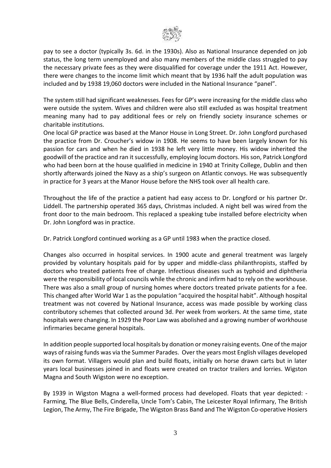

pay to see a doctor (typically 3s. 6d. in the 1930s). Also as National Insurance depended on job status, the long term unemployed and also many members of the middle class struggled to pay the necessary private fees as they were disqualified for coverage under the 1911 Act. However, there were changes to the income limit which meant that by 1936 half the adult population was included and by 1938 19,060 doctors were included in the National Insurance "panel".

The system still had significant weaknesses. Fees for GP's were increasing for the middle class who were outside the system. Wives and children were also still excluded as was hospital treatment meaning many had to pay additional fees or rely on friendly society insurance schemes or charitable institutions.

One local GP practice was based at the Manor House in Long Street. Dr. John Longford purchased the practice from Dr. Croucher's widow in 1908. He seems to have been largely known for his passion for cars and when he died in 1938 he left very little money. His widow inherited the goodwill of the practice and ran it successfully, employing locum doctors. His son, Patrick Longford who had been born at the house qualified in medicine in 1940 at Trinity College, Dublin and then shortly afterwards joined the Navy as a ship's surgeon on Atlantic convoys. He was subsequently in practice for 3 years at the Manor House before the NHS took over all health care.

Throughout the life of the practice a patient had easy access to Dr. Longford or his partner Dr. Liddell. The partnership operated 365 days, Christmas included. A night bell was wired from the front door to the main bedroom. This replaced a speaking tube installed before electricity when Dr. John Longford was in practice.

Dr. Patrick Longford continued working as a GP until 1983 when the practice closed.

Changes also occurred in hospital services. In 1900 acute and general treatment was largely provided by voluntary hospitals paid for by upper and middle-class philanthropists, staffed by doctors who treated patients free of charge. Infectious diseases such as typhoid and diphtheria were the responsibility of local councils while the chronic and infirm had to rely on the workhouse. There was also a small group of nursing homes where doctors treated private patients for a fee. This changed after World War 1 as the population "acquired the hospital habit". Although hospital treatment was not covered by National Insurance, access was made possible by working class contributory schemes that collected around 3d. Per week from workers. At the same time, state hospitals were changing. In 1929 the Poor Law was abolished and a growing number of workhouse infirmaries became general hospitals.

In addition people supported local hospitals by donation or money raising events. One of the major ways of raising funds was via the Summer Parades. Over the years most English villages developed its own format. Villagers would plan and build floats, initially on horse drawn carts but in later years local businesses joined in and floats were created on tractor trailers and lorries. Wigston Magna and South Wigston were no exception.

By 1939 in Wigston Magna a well-formed process had developed. Floats that year depicted: - Farming, The Blue Bells, Cinderella, Uncle Tom's Cabin, The Leicester Royal Infirmary, The British Legion, The Army, The Fire Brigade, The Wigston Brass Band and The Wigston Co-operative Hosiers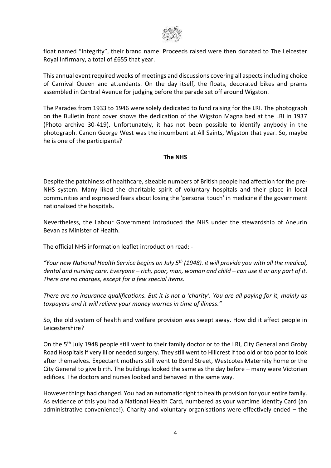

float named "Integrity", their brand name. Proceeds raised were then donated to The Leicester Royal Infirmary, a total of £655 that year.

This annual event required weeks of meetings and discussions covering all aspects including choice of Carnival Queen and attendants. On the day itself, the floats, decorated bikes and prams assembled in Central Avenue for judging before the parade set off around Wigston.

The Parades from 1933 to 1946 were solely dedicated to fund raising for the LRI. The photograph on the Bulletin front cover shows the dedication of the Wigston Magna bed at the LRI in 1937 (Photo archive 30-419). Unfortunately, it has not been possible to identify anybody in the photograph. Canon George West was the incumbent at All Saints, Wigston that year. So, maybe he is one of the participants?

#### **The NHS**

Despite the patchiness of healthcare, sizeable numbers of British people had affection for the pre-NHS system. Many liked the charitable spirit of voluntary hospitals and their place in local communities and expressed fears about losing the 'personal touch' in medicine if the government nationalised the hospitals.

Nevertheless, the Labour Government introduced the NHS under the stewardship of Aneurin Bevan as Minister of Health.

The official NHS information leaflet introduction read: -

*"Your new National Health Service begins on July 5th (1948). it will provide you with all the medical, dental and nursing care. Everyone – rich, poor, man, woman and child – can use it or any part of it. There are no charges, except for a few special items.* 

*There are no insurance qualifications. But it is not a 'charity'. You are all paying for it, mainly as taxpayers and it will relieve your money worries in time of illness."*

So, the old system of health and welfare provision was swept away. How did it affect people in Leicestershire?

On the 5<sup>th</sup> July 1948 people still went to their family doctor or to the LRI, City General and Groby Road Hospitals if very ill or needed surgery. They still went to Hillcrest if too old or too poor to look after themselves. Expectant mothers still went to Bond Street, Westcotes Maternity home or the City General to give birth. The buildings looked the same as the day before – many were Victorian edifices. The doctors and nurses looked and behaved in the same way.

However things had changed. You had an automatic right to health provision for your entire family. As evidence of this you had a National Health Card, numbered as your wartime Identity Card (an administrative convenience!). Charity and voluntary organisations were effectively ended – the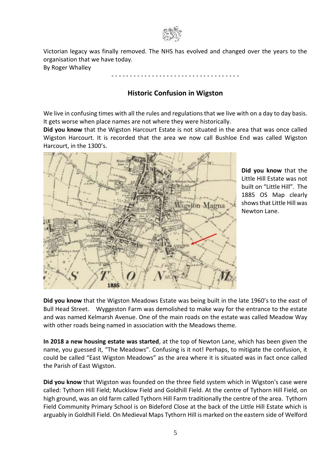

Victorian legacy was finally removed. The NHS has evolved and changed over the years to the organisation that we have today.

By Roger Whalley

- - - - - - - - - - - - - - - - - - - - - - - - - - - - - - - - - - -

# **Historic Confusion in Wigston**

We live in confusing times with all the rules and regulations that we live with on a day to day basis. It gets worse when place names are not where they were historically.

**Did you know** that the Wigston Harcourt Estate is not situated in the area that was once called Wigston Harcourt. It is recorded that the area we now call Bushloe End was called Wigston Harcourt, in the 1300's.



**Did you know** that the Little Hill Estate was not built on "Little Hill". The 1885 OS Map clearly shows that Little Hill was Newton Lane.

**Did you know** that the Wigston Meadows Estate was being built in the late 1960's to the east of Bull Head Street. Wyggeston Farm was demolished to make way for the entrance to the estate and was named Kelmarsh Avenue. One of the main roads on the estate was called Meadow Way with other roads being named in association with the Meadows theme.

**In 2018 a new housing estate was started**, at the top of Newton Lane, which has been given the name, you guessed it, "The Meadows". Confusing is it not! Perhaps, to mitigate the confusion, it could be called "East Wigston Meadows" as the area where it is situated was in fact once called the Parish of East Wigston.

**Did you know** that Wigston was founded on the three field system which in Wigston's case were called: Tythorn Hill Field; Mucklow Field and Goldhill Field. At the centre of Tythorn Hill Field, on high ground, was an old farm called Tythorn Hill Farm traditionally the centre of the area. Tythorn Field Community Primary School is on Bideford Close at the back of the Little Hill Estate which is arguably in Goldhill Field. On Medieval Maps Tythorn Hill is marked on the eastern side of Welford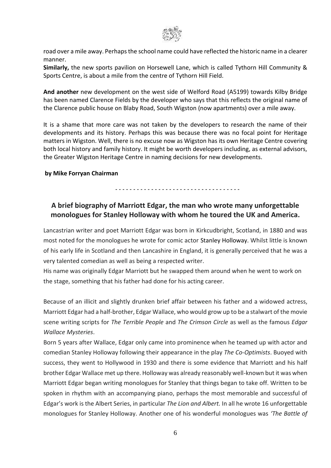

road over a mile away. Perhaps the school name could have reflected the historic name in a clearer manner.

**Similarly,** the new sports pavilion on Horsewell Lane, which is called Tythorn Hill Community & Sports Centre, is about a mile from the centre of Tythorn Hill Field.

**And another** new development on the west side of Welford Road (A5199) towards Kilby Bridge has been named Clarence Fields by the developer who says that this reflects the original name of the Clarence public house on Blaby Road, South Wigston (now apartments) over a mile away.

It is a shame that more care was not taken by the developers to research the name of their developments and its history. Perhaps this was because there was no focal point for Heritage matters in Wigston. Well, there is no excuse now as Wigston has its own Heritage Centre covering both local history and family history. It might be worth developers including, as external advisors, the Greater Wigston Heritage Centre in naming decisions for new developments.

#### **by Mike Forryan Chairman**

*- - - - - - - - - - - - - - - - - - - - - - - - - - - - - - - - - - -*

# **A brief biography of Marriott Edgar, the man who wrote many unforgettable monologues for Stanley Holloway with whom he toured the UK and America.**

Lancastrian writer and poet Marriott Edgar was born in Kirkcudbright, Scotland, in 1880 and was most noted for the monologues he wrote for comic actor [Stanley Holloway.](https://mypoeticside.com/poets/stanley-holloway-poems) Whilst little is known of his early life in Scotland and then Lancashire in England, it is generally perceived that he was a very talented comedian as well as being a respected writer.

His name was originally Edgar Marriott but he swapped them around when he went to work on the stage, something that his father had done for his acting career.

Because of an illicit and slightly drunken brief affair between his father and a widowed actress, Marriott Edgar had a half-brother, Edgar Wallace, who would grow up to be a stalwart of the movie scene writing scripts for *The Terrible People* and *The Crimson Circle* as well as the famous *Edgar Wallace Mysteries*.

Born 5 years after Wallace, Edgar only came into prominence when he teamed up with actor and comedian Stanley Holloway following their appearance in the play *The Co-Optimists*. Buoyed with success, they went to Hollywood in 1930 and there is some evidence that Marriott and his half brother Edgar Wallace met up there. Holloway was already reasonably well-known but it was when Marriott Edgar began writing monologues for Stanley that things began to take off. Written to be spoken in rhythm with an accompanying piano, perhaps the most memorable and successful of Edgar's work is the Albert Series, in particular *The Lion and Albert.* In all he wrote 16 unforgettable monologues for Stanley Holloway. Another one of his wonderful monologues was *'The Battle of*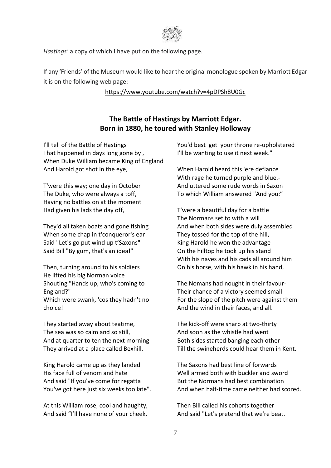

*Hastings'* a copy of which I have put on the following page.

If any 'Friends' of the Museum would like to hear the original monologue spoken by Marriott Edgar it is on the following web page:

#### <https://www.youtube.com/watch?v=4pDPSh8U0Gc>

# **The Battle of Hastings by Marriott Edgar. Born in 1880, he toured with Stanley Holloway**

I'll tell of the Battle of Hastings That happened in days long gone by , When Duke William became King of England And Harold got shot in the eye,

T'were this way; one day in October The Duke, who were always a toff, Having no battles on at the moment Had given his lads the day off,

They'd all taken boats and gone fishing When some chap in t'conqueror's ear Said "Let's go put wind up t'Saxons" Said Bill "By gum, that's an idea!"

Then, turning around to his soldiers He lifted his big Norman voice Shouting "Hands up, who's coming to England?"

Which were swank, 'cos they hadn't no choice!

They started away about teatime, The sea was so calm and so still, And at quarter to ten the next morning They arrived at a place called Bexhill.

King Harold came up as they landed' His face full of venom and hate And said "If you've come for regatta You've got here just six weeks too late".

At this William rose, cool and haughty, And said "I'll have none of your cheek.

You'd best get your throne re-upholstered I'll be wanting to use it next week."

When Harold heard this 'ere defiance With rage he turned purple and blue.- And uttered some rude words in Saxon To which William answered "And you:"

T'were a beautiful day for a battle The Normans set to with a will And when both sides were duly assembled They tossed for the top of the hill, King Harold he won the advantage On the hilltop he took up his stand With his naves and his cads all around him On his horse, with his hawk in his hand,

The Nomans had nought in their favour-Their chance of a victory seemed small For the slope of the pitch were against them And the wind in their faces, and all.

The kick-off were sharp at two-thirty And soon as the whistle had went Both sides started banging each other Till the swineherds could hear them in Kent.

The Saxons had best line of forwards Well armed both with buckler and sword But the Normans had best combination And when half-time came neither had scored.

Then Bill called his cohorts together And said "Let's pretend that we're beat.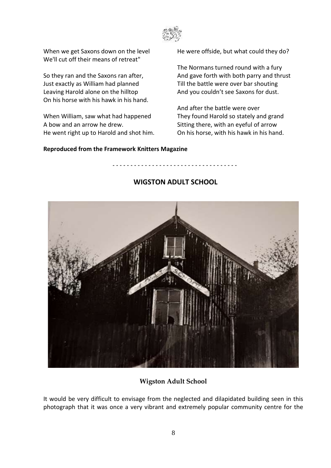

When we get Saxons down on the level We'll cut off their means of retreat"

So they ran and the Saxons ran after, Just exactly as William had planned Leaving Harold alone on the hilltop On his horse with his hawk in his hand.

When William, saw what had happened A bow and an arrow he drew. He went right up to Harold and shot him. He were offside, but what could they do?

The Normans turned round with a fury And gave forth with both parry and thrust Till the battle were over bar shouting And you couldn't see Saxons for dust.

And after the battle were over They found Harold so stately and grand Sitting there, with an eyeful of arrow On his horse, with his hawk in his hand.

#### **Reproduced from the Framework Knitters Magazine**



#### **WIGSTON ADULT SCHOOL**

*- - - - - - - - - - - - - - - - - - - - - - - - - - - - - - - - - - -*

#### **Wigston Adult School**

It would be very difficult to envisage from the neglected and dilapidated building seen in this photograph that it was once a very vibrant and extremely popular community centre for the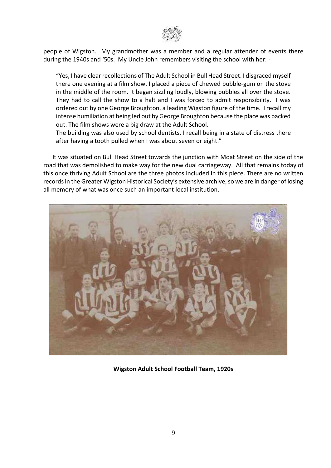

people of Wigston. My grandmother was a member and a regular attender of events there during the 1940s and '50s. My Uncle John remembers visiting the school with her: -

"Yes, I have clear recollections of The Adult School in Bull Head Street. I disgraced myself there one evening at a film show. I placed a piece of chewed bubble-gum on the stove in the middle of the room. It began sizzling loudly, blowing bubbles all over the stove. They had to call the show to a halt and I was forced to admit responsibility. I was ordered out by one George Broughton, a leading Wigston figure of the time. I recall my intense humiliation at being led out by George Broughton because the place was packed out. The film shows were a big draw at the Adult School.

The building was also used by school dentists. I recall being in a state of distress there after having a tooth pulled when I was about seven or eight."

 It was situated on Bull Head Street towards the junction with Moat Street on the side of the road that was demolished to make way for the new dual carriageway. All that remains today of this once thriving Adult School are the three photos included in this piece. There are no written records in the Greater Wigston Historical Society's extensive archive, so we are in danger of losing all memory of what was once such an important local institution.



**Wigston Adult School Football Team, 1920s**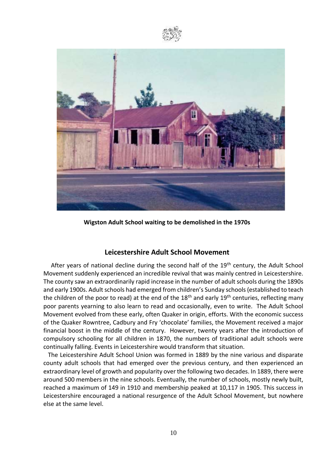



**Wigston Adult School waiting to be demolished in the 1970s**

#### **Leicestershire Adult School Movement**

After years of national decline during the second half of the  $19<sup>th</sup>$  century, the Adult School Movement suddenly experienced an incredible revival that was mainly centred in Leicestershire. The county saw an extraordinarily rapid increase in the number of adult schools during the 1890s and early 1900s. Adult schools had emerged from children's Sunday schools (established to teach the children of the poor to read) at the end of the  $18<sup>th</sup>$  and early  $19<sup>th</sup>$  centuries, reflecting many poor parents yearning to also learn to read and occasionally, even to write. The Adult School Movement evolved from these early, often Quaker in origin, efforts. With the economic success of the Quaker Rowntree, Cadbury and Fry 'chocolate' families, the Movement received a major financial boost in the middle of the century. However, twenty years after the introduction of compulsory schooling for all children in 1870, the numbers of traditional adult schools were continually falling. Events in Leicestershire would transform that situation.

 The Leicestershire Adult School Union was formed in 1889 by the nine various and disparate county adult schools that had emerged over the previous century, and then experienced an extraordinary level of growth and popularity over the following two decades. In 1889, there were around 500 members in the nine schools. Eventually, the number of schools, mostly newly built, reached a maximum of 149 in 1910 and membership peaked at 10,117 in 1905. This success in Leicestershire encouraged a national resurgence of the Adult School Movement, but nowhere else at the same level.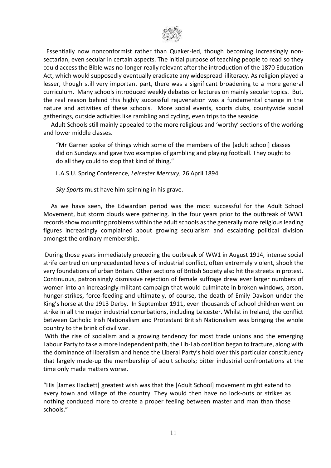

 Essentially now nonconformist rather than Quaker-led, though becoming increasingly nonsectarian, even secular in certain aspects. The initial purpose of teaching people to read so they could access the Bible was no-longer really relevant after the introduction of the 1870 Education Act, which would supposedly eventually eradicate any widespread illiteracy. As religion played a lesser, though still very important part, there was a significant broadening to a more general curriculum. Many schools introduced weekly debates or lectures on mainly secular topics. But, the real reason behind this highly successful rejuvenation was a fundamental change in the nature and activities of these schools. More social events, sports clubs, countywide social gatherings, outside activities like rambling and cycling, even trips to the seaside.

 Adult Schools still mainly appealed to the more religious and 'worthy' sections of the working and lower middle classes.

"Mr Garner spoke of things which some of the members of the [adult school] classes did on Sundays and gave two examples of gambling and playing football. They ought to do all they could to stop that kind of thing."

L.A.S.U. Spring Conference, *Leicester Mercury*, 26 April 1894

*Sky Sports* must have him spinning in his grave.

 As we have seen, the Edwardian period was the most successful for the Adult School Movement, but storm clouds were gathering. In the four years prior to the outbreak of WW1 records show mounting problems within the adult schools as the generally more religious leading figures increasingly complained about growing secularism and escalating political division amongst the ordinary membership.

During those years immediately preceding the outbreak of WW1 in August 1914, intense social strife centred on unprecedented levels of industrial conflict, often extremely violent, shook the very foundations of urban Britain. Other sections of British Society also hit the streets in protest. Continuous, patronisingly dismissive rejection of female suffrage drew ever larger numbers of women into an increasingly militant campaign that would culminate in broken windows, arson, hunger-strikes, force-feeding and ultimately, of course, the death of Emily Davison under the King's horse at the 1913 Derby. In September 1911, even thousands of school children went on strike in all the major industrial conurbations, including Leicester. Whilst in Ireland, the conflict between Catholic Irish Nationalism and Protestant British Nationalism was bringing the whole country to the brink of civil war.

With the rise of socialism and a growing tendency for most trade unions and the emerging Labour Party to take a more independent path, the Lib-Lab coalition began to fracture, along with the dominance of liberalism and hence the Liberal Party's hold over this particular constituency that largely made-up the membership of adult schools; bitter industrial confrontations at the time only made matters worse.

"His [James Hackett] greatest wish was that the [Adult School] movement might extend to every town and village of the country. They would then have no lock-outs or strikes as nothing conduced more to create a proper feeling between master and man than those schools."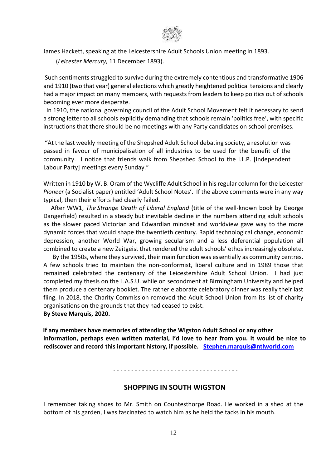

James Hackett, speaking at the Leicestershire Adult Schools Union meeting in 1893.

(*Leicester Mercury,* 11 December 1893).

Such sentiments struggled to survive during the extremely contentious and transformative 1906 and 1910 (two that year) general elections which greatly heightened political tensions and clearly had a major impact on many members, with requests from leaders to keep politics out of schools becoming ever more desperate.

 In 1910, the national governing council of the Adult School Movement felt it necessary to send a strong letter to all schools explicitly demanding that schools remain 'politics free', with specific instructions that there should be no meetings with any Party candidates on school premises.

"At the last weekly meeting of the Shepshed Adult School debating society, a resolution was passed in favour of municipalisation of all industries to be used for the benefit of the community. I notice that friends walk from Shepshed School to the I.L.P. [Independent Labour Party] meetings every Sunday."

Written in 1910 by W. B. Oram of the Wycliffe Adult School in his regular column for the Leicester *Pioneer* (a Socialist paper) entitled 'Adult School Notes'. If the above comments were in any way typical, then their efforts had clearly failed.

 After WW1, *The Strange Death of Liberal England* (title of the well-known book by George Dangerfield) resulted in a steady but inevitable decline in the numbers attending adult schools as the slower paced Victorian and Edwardian mindset and worldview gave way to the more dynamic forces that would shape the twentieth century. Rapid technological change, economic depression, another World War, growing secularism and a less deferential population all combined to create a new Zeitgeist that rendered the adult schools' ethos increasingly obsolete.

 By the 1950s, where they survived, their main function was essentially as community centres. A few schools tried to maintain the non-conformist, liberal culture and in 1989 those that remained celebrated the centenary of the Leicestershire Adult School Union. I had just completed my thesis on the L.A.S.U. while on secondment at Birmingham University and helped them produce a centenary booklet. The rather elaborate celebratory dinner was really their last fling. In 2018, the Charity Commission removed the Adult School Union from its list of charity organisations on the grounds that they had ceased to exist. **By Steve Marquis, 2020.**

 **If any members have memories of attending the Wigston Adult School or any other information, perhaps even written material, I'd love to hear from you. It would be nice to rediscover and record this important history, if possible. [Stephen.marquis@ntlworld.com](mailto:Stephen.marquis@ntlworld.com)**

*- - - - - - - - - - - - - - - - - - - - - - - - - - - - - - - - - - -*

#### **SHOPPING IN SOUTH WIGSTON**

I remember taking shoes to Mr. Smith on Countesthorpe Road. He worked in a shed at the bottom of his garden, I was fascinated to watch him as he held the tacks in his mouth.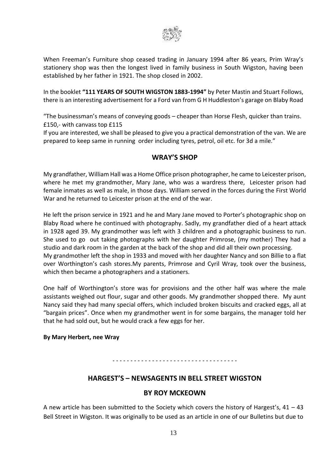

When Freeman's Furniture shop ceased trading in January 1994 after 86 years, Prim Wray's stationery shop was then the longest lived in family business in South Wigston, having been established by her father in 1921. The shop closed in 2002.

In the booklet **"111 YEARS OF SOUTH WIGSTON 1883-1994"** by Peter Mastin and Stuart Follows, there is an interesting advertisement for a Ford van from G H Huddleston's garage on Blaby Road

"The businessman's means of conveying goods – cheaper than Horse Flesh, quicker than trains. £150,- with canvass top £115

If you are interested, we shall be pleased to give you a practical demonstration of the van. We are prepared to keep same in running order including tyres, petrol, oil etc. for 3d a mile."

## **WRAY'S SHOP**

My grandfather, William Hall was a Home Office prison photographer, he came to Leicester prison, where he met my grandmother, Mary Jane, who was a wardress there, Leicester prison had female inmates as well as male, in those days. William served in the forces during the First World War and he returned to Leicester prison at the end of the war.

He left the prison service in 1921 and he and Mary Jane moved to Porter's photographic shop on Blaby Road where he continued with photography. Sadly, my grandfather died of a heart attack in 1928 aged 39. My grandmother was left with 3 children and a photographic business to run. She used to go out taking photographs with her daughter Primrose, (my mother) They had a studio and dark room in the garden at the back of the shop and did all their own processing. My grandmother left the shop in 1933 and moved with her daughter Nancy and son Billie to a flat over Worthington's cash stores.My parents, Primrose and Cyril Wray, took over the business, which then became a photographers and a stationers.

One half of Worthington's store was for provisions and the other half was where the male assistants weighed out flour, sugar and other goods. My grandmother shopped there. My aunt Nancy said they had many special offers, which included broken biscuits and cracked eggs, all at "bargain prices". Once when my grandmother went in for some bargains, the manager told her that he had sold out, but he would crack a few eggs for her.

#### **By Mary Herbert, nee Wray**

#### *- - - - - - - - - - - - - - - - - - - - - - - - - - - - - - - - - - -*

#### **HARGEST'S – NEWSAGENTS IN BELL STREET WIGSTON**

#### **BY ROY MCKEOWN**

A new article has been submitted to the Society which covers the history of Hargest's,  $41 - 43$ Bell Street in Wigston. It was originally to be used as an article in one of our Bulletins but due to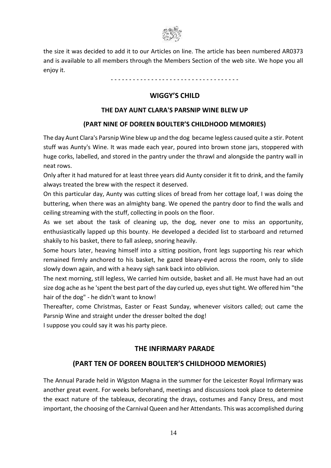

the size it was decided to add it to our Articles on line. The article has been numbered AR0373 and is available to all members through the Members Section of the web site. We hope you all enjoy it.

- - - - - - - - - - - - - - - - - - - - - - - - - - - - - - - - - - -

## **WIGGY'S CHILD**

#### **THE DAY AUNT CLARA'S PARSNIP WINE BLEW UP**

#### **(PART NINE OF DOREEN BOULTER'S CHILDHOOD MEMORIES)**

The day Aunt Clara's Parsnip Wine blew up and the dog became legless caused quite a stir. Potent stuff was Aunty's Wine. It was made each year, poured into brown stone jars, stoppered with huge corks, labelled, and stored in the pantry under the thrawl and alongside the pantry wall in neat rows.

Only after it had matured for at least three years did Aunty consider it fit to drink, and the family always treated the brew with the respect it deserved.

On this particular day, Aunty was cutting slices of bread from her cottage loaf, I was doing the buttering, when there was an almighty bang. We opened the pantry door to find the walls and ceiling streaming with the stuff, collecting in pools on the floor.

As we set about the task of cleaning up, the dog, never one to miss an opportunity, enthusiastically lapped up this bounty. He developed a decided list to starboard and returned shakily to his basket, there to fall asleep, snoring heavily.

Some hours later, heaving himself into a sitting position, front legs supporting his rear which remained firmly anchored to his basket, he gazed bleary-eyed across the room, only to slide slowly down again, and with a heavy sigh sank back into oblivion.

The next morning, still legless, We carried him outside, basket and all. He must have had an out size dog ache as he 'spent the best part of the day curled up, eyes shut tight. We offered him "the hair of the dog" - he didn't want to know!

Thereafter, come Christmas, Easter or Feast Sunday, whenever visitors called; out came the Parsnip Wine and straight under the dresser bolted the dog!

I suppose you could say it was his party piece.

#### **THE INFIRMARY PARADE**

# **(PART TEN OF DOREEN BOULTER'S CHILDHOOD MEMORIES)**

The Annual Parade held in Wigston Magna in the summer for the Leicester Royal Infirmary was another great event. For weeks beforehand, meetings and discussions took place to determine the exact nature of the tableaux, decorating the drays, costumes and Fancy Dress, and most important, the choosing of the Carnival Queen and her Attendants. This was accomplished during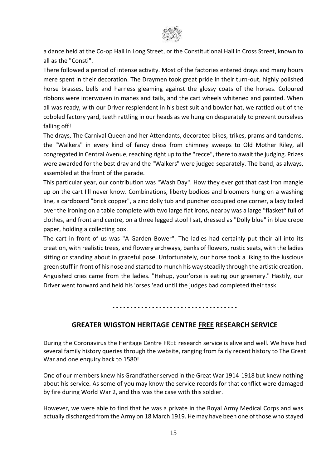

a dance held at the Co-op Hall in Long Street, or the Constitutional Hall in Cross Street, known to all as the "Consti".

There followed a period of intense activity. Most of the factories entered drays and many hours mere spent in their decoration. The Draymen took great pride in their turn-out, highly polished horse brasses, bells and harness gleaming against the glossy coats of the horses. Coloured ribbons were interwoven in manes and tails, and the cart wheels whitened and painted. When all was ready, with our Driver resplendent in his best suit and bowler hat, we rattled out of the cobbled factory yard, teeth rattling in our heads as we hung on desperately to prevent ourselves falling off!

The drays, The Carnival Queen and her Attendants, decorated bikes, trikes, prams and tandems, the "Walkers" in every kind of fancy dress from chimney sweeps to Old Mother Riley, all congregated in Central Avenue, reaching right up to the "recce", there to await the judging. Prizes were awarded for the best dray and the "Walkers" were judged separately. The band, as always, assembled at the front of the parade.

This particular year, our contribution was "Wash Day". How they ever got that cast iron mangle up on the cart I'll never know. Combinations, liberty bodices and bloomers hung on a washing line, a cardboard "brick copper", a zinc dolly tub and puncher occupied one corner, a lady toiled over the ironing on a table complete with two large flat irons, nearby was a large "flasket" full of clothes, and front and centre, on a three legged stool I sat, dressed as "Dolly blue" in blue crepe paper, holding a collecting box.

The cart in front of us was "A Garden Bower". The ladies had certainly put their all into its creation, with realistic trees, and flowery archways, banks of flowers, rustic seats, with the ladies sitting or standing about in graceful pose. Unfortunately, our horse took a liking to the luscious green stuff in front of his nose and started to munch his way steadily through the artistic creation. Anguished cries came from the ladies. "Hehup, your'orse is eating our greenery." Hastily, our Driver went forward and held his 'orses 'ead until the judges bad completed their task.

*- - - - - - - - - - - - - - - - - - - - - - - - - - - - - - - - - - -*

#### **GREATER WIGSTON HERITAGE CENTRE FREE RESEARCH SERVICE**

During the Coronavirus the Heritage Centre FREE research service is alive and well. We have had several family history queries through the website, ranging from fairly recent history to The Great War and one enquiry back to 1580!

One of our members knew his Grandfather served in the Great War 1914-1918 but knew nothing about his service. As some of you may know the service records for that conflict were damaged by fire during World War 2, and this was the case with this soldier.

However, we were able to find that he was a private in the Royal Army Medical Corps and was actually discharged from the Army on 18 March 1919. He may have been one of those who stayed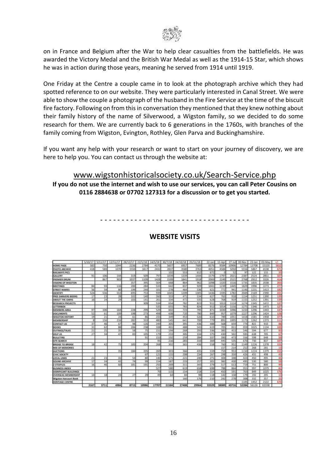

on in France and Belgium after the War to help clear casualties from the battlefields. He was awarded the Victory Medal and the British War Medal as well as the 1914-15 Star, which shows he was in action during those years, meaning he served from 1914 until 1919.

One Friday at the Centre a couple came in to look at the photograph archive which they had spotted reference to on our website. They were particularly interested in Canal Street. We were able to show the couple a photograph of the husband in the Fire Service at the time of the biscuit fire factory. Following on from this in conversation they mentioned that they knew nothing about their family history of the name of Silverwood, a Wigston family, so we decided to do some research for them. We are currently back to 6 generations in the 1760s, with branches of the family coming from Wigston, Evington, Rothley, Glen Parva and Buckinghamshire.

If you want any help with your research or want to start on your journey of discovery, we are here to help you. You can contact us through the website at:

# [www.wigstonhistoricalsociety.co.uk/Search-Service.php](http://www.wigstonhistoricalsociety.co.uk/Search-Service.php)

**If you do not use the internet and wish to use our services, you can call Peter Cousins on 0116 2884638 or 07702 127313 for a discussion or to get you started.**

- - - - - - - - - - - - - - - - - - - - - - - - - - - - - - - - - - -

|                                | 5/10/1         |             |       |         |       | 14/5/1        | 30/7/18      | 34/10/18 | 15/11/18 | 12-1ar                        | $5 - 0.01$    |        | 30-Nov | $33 - 130$  | 03-May     |                |
|--------------------------------|----------------|-------------|-------|---------|-------|---------------|--------------|----------|----------|-------------------------------|---------------|--------|--------|-------------|------------|----------------|
| HOME PAGE                      | 583            | 750         | 1044  | 2236    | 3784  | 4570          | 560          | 695      | 7635     | 8376                          | 9584          | 10908  | 12784  | 13708       | 15330      | 161            |
| <b>PHOTO ARCHIVE</b>           | 418            | 5.8/2       | 1070  | 1550    | 1817  | 2432          | 2837         | 1580     | 3767     | 4051                          | 4584          | 5050   | 5550   | 54867       | 0538       | 671            |
| <b>RAILWAYS PICS</b>           |                |             |       |         |       |               | 1.02         | 553      | 612      | 672                           |               | 52     | 97     | 122         | 155        | n              |
| GALLERY                        | ٥t             | 106         | 1.44  | 319     | 509   | 797           | 1039         | 1339     | 1444     | 15.79                         | 1747          | 2021   | 2387   | 2524        | 2851       | 327            |
| PHEMIER DRUM                   |                | 867         | 903   | 1037    | 1109  | 1428          | 1599         | 1841     | 1918     | 2066                          | 2249          | 2521   | 2768   | 2912        | 3326       | 414            |
| <b>MISIONS OF WIGSTON</b>      |                |             |       | 357     | 395   | 564           | 568          | 864      | 962      | 1099                          | 1320          | 1516   | 1735   | 1835        | 2038       | 203            |
| <b>MEETIMGS</b>                | 84             | 93          | 236   | 200     | 284   | 533           | 642          | 337      | 0.29     | 3041                          | 1299          | 1445   | 1829   | 1996        | 2273       | $\overline{1}$ |
| <b>STREET NAMES</b>            | 56             | 59          | 30    | 199     | 244   | 101           | 278          | 464      | 536      | 621                           | 772           | 941    | 1146   | 3231        | 1413       | 132            |
| <b>BDENTIFY</b>                | 524            | 536         | 553   | 695     | 753   | 939           | 1045         | 1209     | 1305     | 1436                          | 1595          | 1787   | 2049   | 2169        | 2390       | 221            |
| PREE DANVERS BOOKS             | 17             | 23          | 28    | 102     | 540   | 260           | 333          | 471      | 534      | 627                           | 765           | 918    | 1154   | 1251        | 1390       | 139            |
| ABOUT THE OWNS                 | 36             | 24          | 29    | 103     | 141   | 261           | 334          | 472      | 535      | 628                           | 768           | 919    | 1155   | 1252        | 1391       | 139            |
| RESEARCH PROJECTS              |                |             |       |         | 309   | -514          | 654          | 782      | 823      | 911                           | 1013          | 1114   | 1274   | 1345        | 1472       | 127            |
| LITTERBOX                      |                |             |       |         |       | 535           | 655          | 783      | 824      | 0.12                          | 1014          | 1116   | 1275   | 1346        | 1473       | 127            |
| <b>MEMBERS AREA</b>            | 97             | 100         | 164   | 228     | 299   | 529           | 602          | 721      | 795      | $\overline{a}$ $\overline{r}$ | 1030          | 1096   | 123    | 1296        | 1441       | 141            |
| <b>DOCUMENTS</b>               | 52             | 61          | 109   | 198     | 273   | 498           | 608          | 720      | 780      | 849                           | 957           | 1079   | 122    | 1296        | 1424       | 128            |
| <b>WISSTON HISTORY</b>         | 19             | 21          | 34    | 61      | 86    | 233           | 349          | 453      | 520      | £10                           | 789           | 1051   | 1418   | 1581        | 1958       | 377            |
| MEMBERSHP                      | $\overline{8}$ | 156         | 216   | 382     | 333   | 480           | 545          | 641      | 700      | 779                           | 891           | 1005   | 1173   | 1262        | 1373       | 111            |
| <b>CONTACT US</b>              | 37             | 44          | 4.7   | $^{28}$ | 126   | 248           | 305          | 3M       | 636      | 688                           | 5418          | 659    | 77W    | 322         | 910        | н              |
| <b>BIO OICL</b>                | Ħ              | 62          | 33    | 206     | 238   | 118           | 401          | 481      | 541      | 839                           | <b>JOS</b>    | E11    | 859    | 1025        | 1134       | 106            |
| <b>JOUTINGS/TALKS</b>          | $_{T1}$        | 3%          | 35    | 58      | 75    | 151           | 194          | 262      | 293      | 336                           | 385           | 453    | 546    | 594         | 677        | 鄞              |
| <b>DIELP US</b>                | 27             | 34          | $A$ 7 | 83      | 105   | 170           | 233          | 305      | 334      | 379                           | 430           | 502    | 595    | 638         | 705        | 63             |
| <b>BULLETINS</b>               |                |             |       |         | 01    | 153           | 152          | 256      | 284      | 331                           | 390           | 473    | 556    | 598         | <b>648</b> | 50             |
| <b>SITE SEARCH</b>             |                |             |       |         |       | 98            | 216          | 283      | 330      | 360                           | 445           | 535    | 670    | 755         | 837        | 107            |
| <b><i>WAIDGE TO BRIDGE</i></b> | 18             | 42          |       | 183     | 204   | 268           | 302          | 367      | 436      | 558                           | 760           | 952    | 1149   | 1226        | 1378       | 152            |
| <b>INTO CF MEMORIES</b>        |                |             |       |         |       |               |              |          |          |                               | 157           | 214    | 252    | 268         | 283        | 11             |
| AUCTIONS                       |                |             | 35    | 184     | 205   | 369           | 303          | 366      | 435      | 559                           | 799           | 953    | 1150   | 1224        | 1379       | 159            |
| <b>CIVIC SOCIETY</b>           |                |             |       |         | 67    | 121           | 155          | 208      | 234      | 267                           | 198           | 350    | 426    | 455         | 498        | 43             |
| <b>LOCAL LINKS</b>             | 21             | 23          | 31    | 54      | an    | 140           | 171          | 221      | 240      | 271                           | 104           | 348    | 423    | 450         | 495        | 45             |
| SOUND ARCHIVE                  | $-17$          | 24          | 42    | 74      | 99    | 154           | 187          | 237      | 257      | 301                           | 382           | 430    | 495    | 530         | 580        | 50             |
| 2 STEEPLES                     | 16             | 46          | 60    | 181     | 191   | 250           | 369          | 111      | 343      | 170                           | 517           | 613    | 719    | 751         | <b>BOO</b> | 4              |
| <b>BUSINESS INDEX</b>          |                |             |       |         |       | 527           | 580          | 619      | 658      | 698                           | 788           | 864    | 955    | 997         | 1079       | 81             |
| SIGNIFICANT BUILDINGS          |                |             |       |         |       | 70            | 115          | 154      | 258      | 314                           | 450           | 591    | 763    | 849         | 1025       | 176            |
| OVERSEAS MEMBERSHIP            | 14             | 18          | 24    | 27      | 29    | 49            | 64           | 84       | 皱        | 118                           | 142           | 158    | 179    | 192         | 105        | 13             |
| <b>Wigsten Harcourt Book</b>   |                |             |       |         |       |               |              | 380      | 176      | 210                           | 141           | 275    | 308    | 133         | 357        | 25             |
| <b>NERITAGE CENTRE</b>         |                |             |       |         |       |               |              |          |          |                               |               |        | 1105   | 5452        | 3132       | 670            |
|                                | 2167           | <b>STIP</b> | AGEA. | 新学生院    | 10986 | <b>ATTACK</b> | <b>3156A</b> | 31808    | POGLA    | press                         | <b>Sanaxi</b> | ATTLE! |        | STORE LETTE | 63338      |                |

# **WEBSITE VISITS**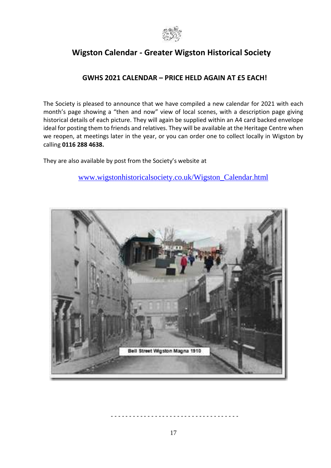

# **Wigston Calendar - [Greater Wigston Historical Society](http://www.wigstonhistoricalsociety.co.uk/Wigston_Calendar.html)**

# **GWHS 2021 CALENDAR – PRICE HELD AGAIN AT £5 EACH!**

The Society is pleased to announce that we have compiled a new calendar for 2021 with each month's page showing a "then and now" view of local scenes, with a description page giving historical details of each picture. They will again be supplied within an A4 card backed envelope ideal for posting them to friends and relatives. They will be available at the Heritage Centre when we reopen, at meetings later in the year, or you can order one to collect locally in Wigston by calling **0116 288 4638.**

They are also available by post from the Society's website at

[www.wigstonhistoricalsociety.co.uk/Wigston\\_Calendar.html](http://www.wigstonhistoricalsociety.co.uk/Wigston_Calendar.html)



- - - - - - - - - - - - - - - - - - - - - - - - - - - - - - - - - - -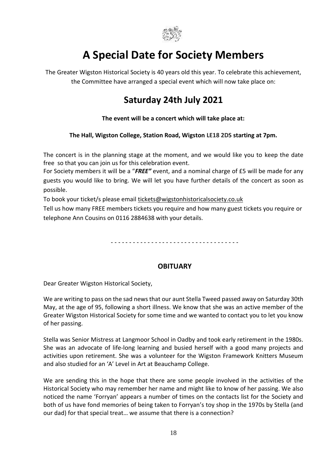

# **A Special Date for Society Members**

The Greater Wigston Historical Society is 40 years old this year. To celebrate this achievement, the Committee have arranged a special event which will now take place on:

# **Saturday 24th July 2021**

#### **The event will be a concert which will take place at:**

#### **The Hall, Wigston College, Station Road, Wigston LE18 2DS starting at 7pm.**

The concert is in the planning stage at the moment, and we would like you to keep the date free so that you can join us for this celebration event.

For Society members it will be a "*FREE"* event, and a nominal charge of £5 will be made for any guests you would like to bring. We will let you have further details of the concert as soon as possible.

To book your ticket/s please email [tickets@wigstonhistoricalsociety.co.uk](mailto:tickets@wigstonhistoricalsociety.co.uk)

Tell us how many FREE members tickets you require and how many guest tickets you require or telephone Ann Cousins on 0116 2884638 with your details.

- - - - - - - - - - - - - - - - - - - - - - - - - - - - - - - - - - -

#### **OBITUARY**

Dear Greater Wigston Historical Society,

We are writing to pass on the sad news that our aunt Stella Tweed passed away on Saturday 30th May, at the age of 95, following a short illness. We know that she was an active member of the Greater Wigston Historical Society for some time and we wanted to contact you to let you know of her passing.

Stella was Senior Mistress at Langmoor School in Oadby and took early retirement in the 1980s. She was an advocate of life-long learning and busied herself with a good many projects and activities upon retirement. She was a volunteer for the Wigston Framework Knitters Museum and also studied for an 'A' Level in Art at Beauchamp College.

We are sending this in the hope that there are some people involved in the activities of the Historical Society who may remember her name and might like to know of her passing. We also noticed the name 'Forryan' appears a number of times on the contacts list for the Society and both of us have fond memories of being taken to Forryan's toy shop in the 1970s by Stella (and our dad) for that special treat… we assume that there is a connection?